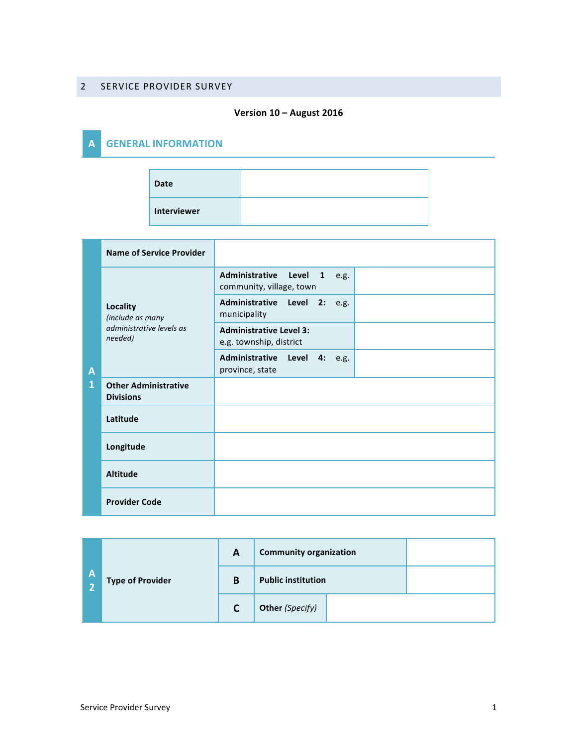#### 2 SERVICE PROVIDER SURVEY

#### **Version 10 – August 2016**

### **A GENERAL INFORMATION**

| <b>Date</b> |  |
|-------------|--|
| Interviewer |  |

|        | <b>Name of Service Provider</b>                                            |                                                           |  |
|--------|----------------------------------------------------------------------------|-----------------------------------------------------------|--|
| Α<br>1 | <b>Locality</b><br>(include as many<br>administrative levels as<br>needed) | Administrative Level 1 e.g.<br>community, village, town   |  |
|        |                                                                            | Administrative Level 2:<br>e.g.<br>municipality           |  |
|        |                                                                            | <b>Administrative Level 3:</b><br>e.g. township, district |  |
|        |                                                                            | Administrative Level 4: e.g.<br>province, state           |  |
|        | <b>Other Administrative</b><br><b>Divisions</b>                            |                                                           |  |
|        | Latitude                                                                   |                                                           |  |
|        | Longitude                                                                  |                                                           |  |
|        | <b>Altitude</b>                                                            |                                                           |  |
|        | <b>Provider Code</b>                                                       |                                                           |  |

| $\mathsf{A}$ | <b>Type of Provider</b> | A | <b>Community organization</b> |  |
|--------------|-------------------------|---|-------------------------------|--|
|              |                         | B | <b>Public institution</b>     |  |
|              |                         | C | <b>Other (Specify)</b>        |  |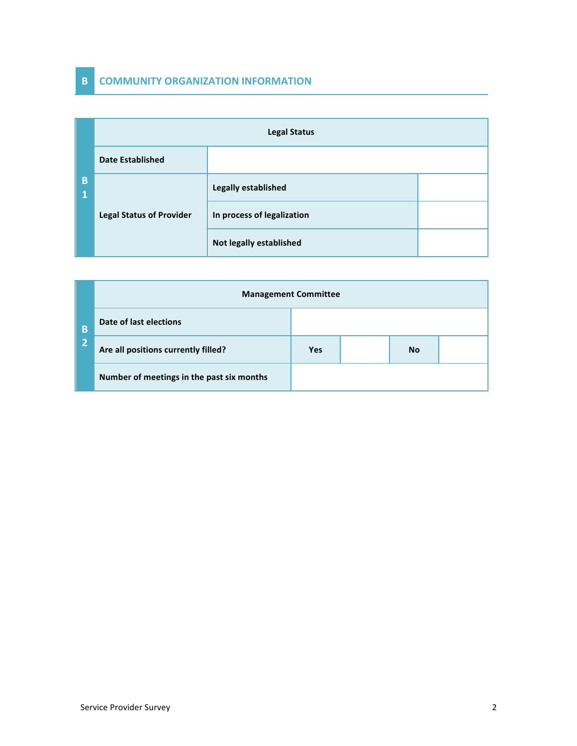## **B COMMUNITY ORGANIZATION INFORMATION**

|        | <b>Legal Status</b>             |                                |  |  |
|--------|---------------------------------|--------------------------------|--|--|
|        | <b>Date Established</b>         |                                |  |  |
| B<br>1 |                                 | Legally established            |  |  |
|        | <b>Legal Status of Provider</b> | In process of legalization     |  |  |
|        |                                 | <b>Not legally established</b> |  |  |

|   | <b>Management Committee</b>               |            |  |           |  |  |
|---|-------------------------------------------|------------|--|-----------|--|--|
| B | Date of last elections                    |            |  |           |  |  |
| n | Are all positions currently filled?       | <b>Yes</b> |  | <b>No</b> |  |  |
|   | Number of meetings in the past six months |            |  |           |  |  |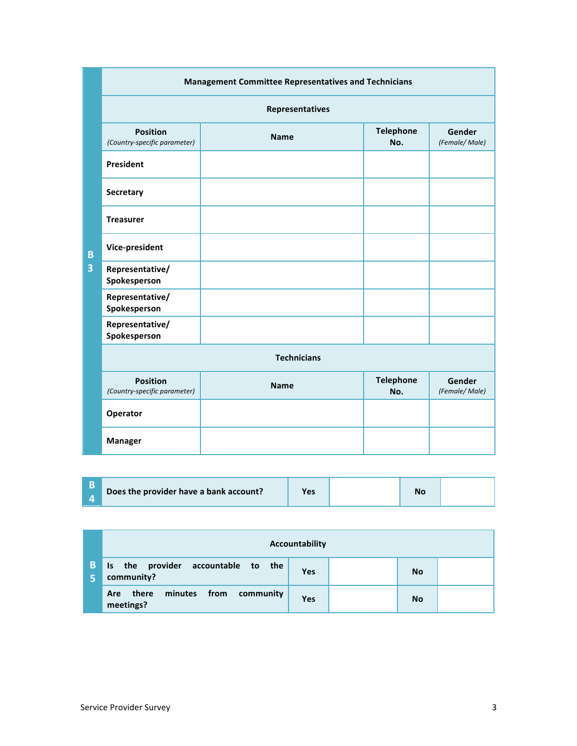|   | <b>Management Committee Representatives and Technicians</b> |             |                         |                         |  |  |
|---|-------------------------------------------------------------|-------------|-------------------------|-------------------------|--|--|
|   | <b>Representatives</b>                                      |             |                         |                         |  |  |
|   | <b>Position</b><br>(Country-specific parameter)             | <b>Name</b> | <b>Telephone</b><br>No. | Gender<br>(Female/Male) |  |  |
|   | President                                                   |             |                         |                         |  |  |
|   | Secretary                                                   |             |                         |                         |  |  |
|   | <b>Treasurer</b>                                            |             |                         |                         |  |  |
| B | Vice-president                                              |             |                         |                         |  |  |
| 3 | Representative/<br>Spokesperson                             |             |                         |                         |  |  |
|   | Representative/<br>Spokesperson                             |             |                         |                         |  |  |
|   | Representative/<br>Spokesperson                             |             |                         |                         |  |  |
|   | <b>Technicians</b>                                          |             |                         |                         |  |  |
|   | <b>Position</b><br>(Country-specific parameter)             | <b>Name</b> | <b>Telephone</b><br>No. | Gender<br>(Female/Male) |  |  |
|   | Operator                                                    |             |                         |                         |  |  |
|   | <b>Manager</b>                                              |             |                         |                         |  |  |

|    |                                                        | Accountability |           |  |
|----|--------------------------------------------------------|----------------|-----------|--|
| B. | Is the provider accountable to the<br>community?       | Yes            | <b>No</b> |  |
|    | minutes<br>from community<br>there<br>Are<br>meetings? | <b>Yes</b>     | <b>No</b> |  |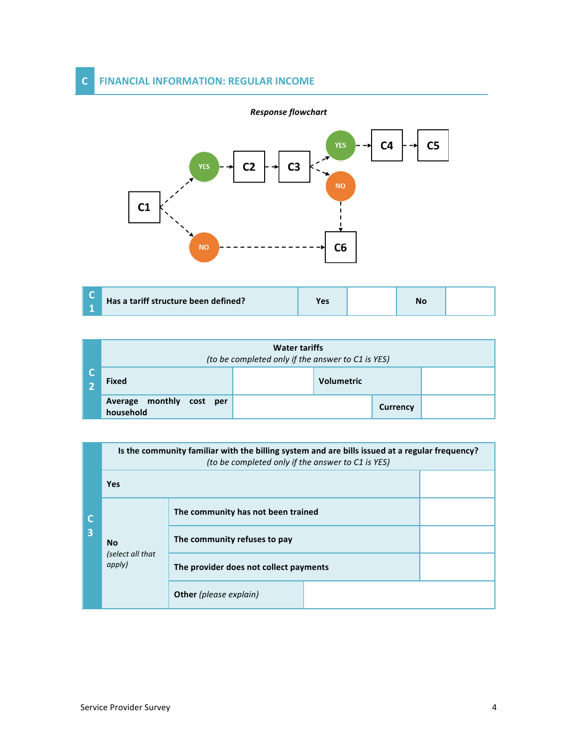#### **C FINANCIAL INFORMATION: REGULAR INCOME**



| <b>Water tariffs</b><br>(to be completed only if the answer to C1 is YES) |  |                   |                 |  |
|---------------------------------------------------------------------------|--|-------------------|-----------------|--|
| <b>Fixed</b>                                                              |  | <b>Volumetric</b> |                 |  |
| Average monthly cost per<br>household                                     |  |                   | <b>Currency</b> |  |

|   |                                         | Is the community familiar with the billing system and are bills issued at a regular frequency?<br>(to be completed only if the answer to C1 is YES) |  |  |
|---|-----------------------------------------|-----------------------------------------------------------------------------------------------------------------------------------------------------|--|--|
|   | <b>Yes</b>                              |                                                                                                                                                     |  |  |
| 3 | <b>No</b><br>(select all that<br>apply) | The community has not been trained                                                                                                                  |  |  |
|   |                                         | The community refuses to pay                                                                                                                        |  |  |
|   |                                         | The provider does not collect payments                                                                                                              |  |  |
|   |                                         | <b>Other</b> (please explain)                                                                                                                       |  |  |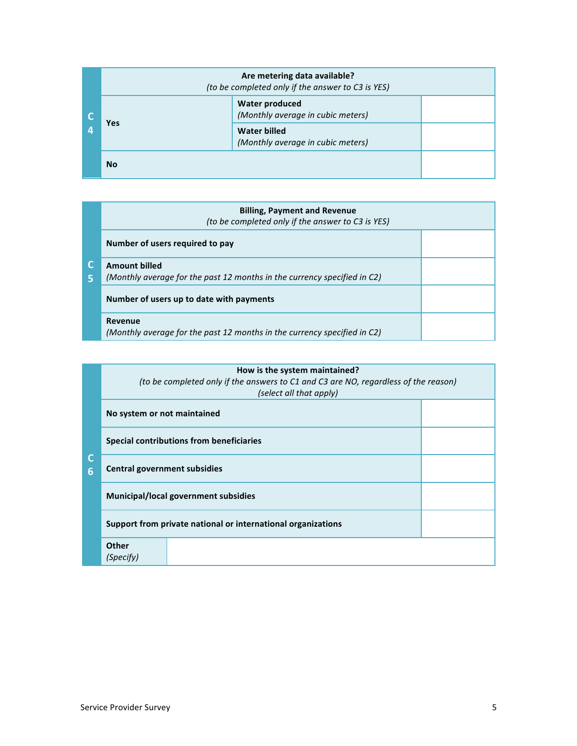|  | Are metering data available?<br>(to be completed only if the answer to C3 is YES) |                                                            |  |  |
|--|-----------------------------------------------------------------------------------|------------------------------------------------------------|--|--|
|  | <b>Yes</b>                                                                        | <b>Water produced</b><br>(Monthly average in cubic meters) |  |  |
|  |                                                                                   | Water billed<br>(Monthly average in cubic meters)          |  |  |
|  | <b>No</b>                                                                         |                                                            |  |  |

| 5 | <b>Billing, Payment and Revenue</b><br>(to be completed only if the answer to C3 is YES)         |  |  |
|---|--------------------------------------------------------------------------------------------------|--|--|
|   | Number of users required to pay                                                                  |  |  |
|   | <b>Amount billed</b><br>(Monthly average for the past 12 months in the currency specified in C2) |  |  |
|   | Number of users up to date with payments                                                         |  |  |
|   | Revenue<br>(Monthly average for the past 12 months in the currency specified in C2)              |  |  |

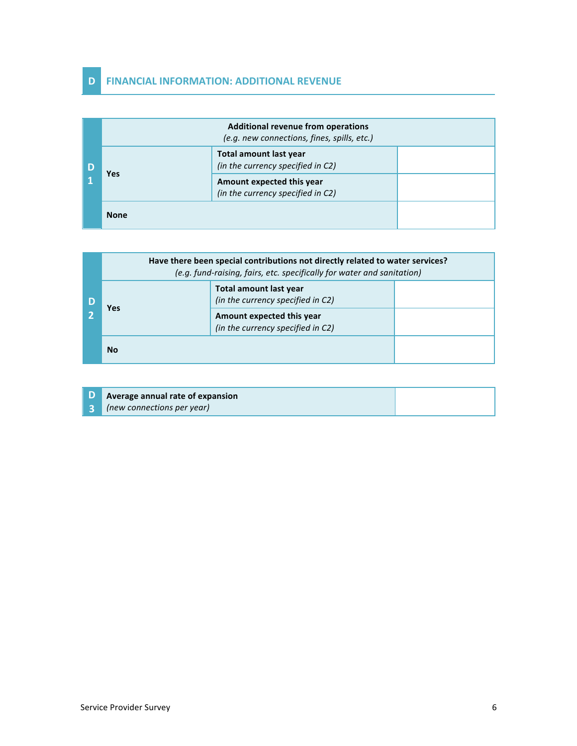## **D FINANCIAL INFORMATION: ADDITIONAL REVENUE**

|  | <b>Additional revenue from operations</b><br>(e.g. new connections, fines, spills, etc.) |                                                                    |  |
|--|------------------------------------------------------------------------------------------|--------------------------------------------------------------------|--|
|  | Yes                                                                                      | <b>Total amount last year</b><br>(in the currency specified in C2) |  |
|  |                                                                                          | Amount expected this year<br>(in the currency specified in C2)     |  |
|  | <b>None</b>                                                                              |                                                                    |  |

|  | Have there been special contributions not directly related to water services?<br>(e.g. fund-raising, fairs, etc. specifically for water and sanitation) |                                                                |  |
|--|---------------------------------------------------------------------------------------------------------------------------------------------------------|----------------------------------------------------------------|--|
|  | <b>Yes</b>                                                                                                                                              | Total amount last year<br>(in the currency specified in C2)    |  |
|  |                                                                                                                                                         | Amount expected this year<br>(in the currency specified in C2) |  |
|  | <b>No</b>                                                                                                                                               |                                                                |  |

**D 3 Average annual rate of expansion** *(new connections per year)*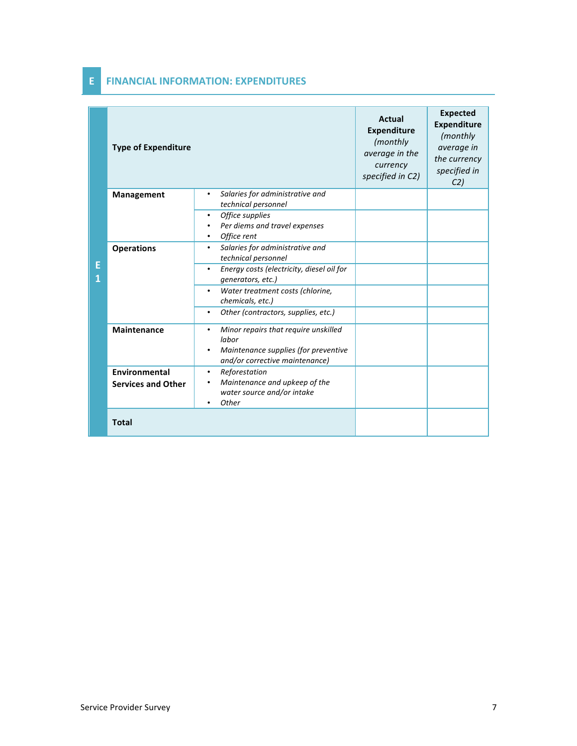|   | <b>Type of Expenditure</b>                 |                                                                                                                         | <b>Actual</b><br><b>Expenditure</b><br>(monthly<br>average in the<br>currency<br>specified in C2) | <b>Expected</b><br><b>Expenditure</b><br>(monthly<br>average in<br>the currency<br>specified in<br>C <sub>2</sub> |
|---|--------------------------------------------|-------------------------------------------------------------------------------------------------------------------------|---------------------------------------------------------------------------------------------------|-------------------------------------------------------------------------------------------------------------------|
|   | Management                                 | Salaries for administrative and<br>٠<br>technical personnel                                                             |                                                                                                   |                                                                                                                   |
| Е |                                            | Office supplies<br>Per diems and travel expenses<br>Office rent                                                         |                                                                                                   |                                                                                                                   |
|   | <b>Operations</b>                          | Salaries for administrative and<br>٠<br>technical personnel                                                             |                                                                                                   |                                                                                                                   |
|   |                                            | Energy costs (electricity, diesel oil for<br>generators, etc.)                                                          |                                                                                                   |                                                                                                                   |
|   |                                            | Water treatment costs (chlorine,<br>chemicals, etc.)                                                                    |                                                                                                   |                                                                                                                   |
|   |                                            | Other (contractors, supplies, etc.)                                                                                     |                                                                                                   |                                                                                                                   |
|   | <b>Maintenance</b>                         | Minor repairs that require unskilled<br>labor<br>Maintenance supplies (for preventive<br>and/or corrective maintenance) |                                                                                                   |                                                                                                                   |
|   | Environmental<br><b>Services and Other</b> | Reforestation<br>$\bullet$<br>Maintenance and upkeep of the<br>water source and/or intake<br>Other                      |                                                                                                   |                                                                                                                   |
|   | <b>Total</b>                               |                                                                                                                         |                                                                                                   |                                                                                                                   |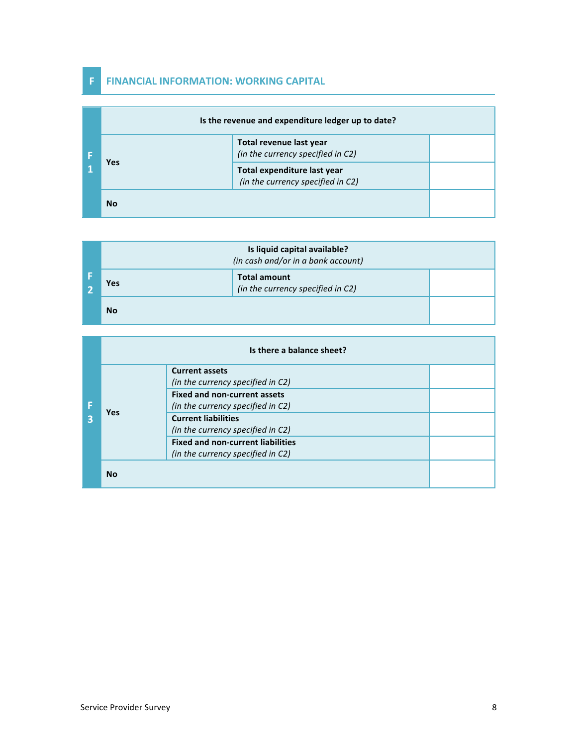## **F FINANCIAL INFORMATION: WORKING CAPITAL**

|  | Is the revenue and expenditure ledger up to date? |                                                                  |  |  |
|--|---------------------------------------------------|------------------------------------------------------------------|--|--|
|  | <b>Yes</b>                                        | Total revenue last year<br>(in the currency specified in C2)     |  |  |
|  |                                                   | Total expenditure last year<br>(in the currency specified in C2) |  |  |
|  | <b>No</b>                                         |                                                                  |  |  |

| Is liquid capital available?<br>(in cash and/or in a bank account) |                                                          |  |
|--------------------------------------------------------------------|----------------------------------------------------------|--|
| Yes                                                                | <b>Total amount</b><br>(in the currency specified in C2) |  |
| <b>No</b>                                                          |                                                          |  |

|  |            | Is there a balance sheet?                |  |  |
|--|------------|------------------------------------------|--|--|
|  |            | <b>Current assets</b>                    |  |  |
|  | <b>Yes</b> | (in the currency specified in C2)        |  |  |
|  |            | <b>Fixed and non-current assets</b>      |  |  |
|  |            | (in the currency specified in C2)        |  |  |
|  |            | <b>Current liabilities</b>               |  |  |
|  |            | (in the currency specified in C2)        |  |  |
|  |            | <b>Fixed and non-current liabilities</b> |  |  |
|  |            | (in the currency specified in C2)        |  |  |
|  | <b>No</b>  |                                          |  |  |

Service Provider Survey 8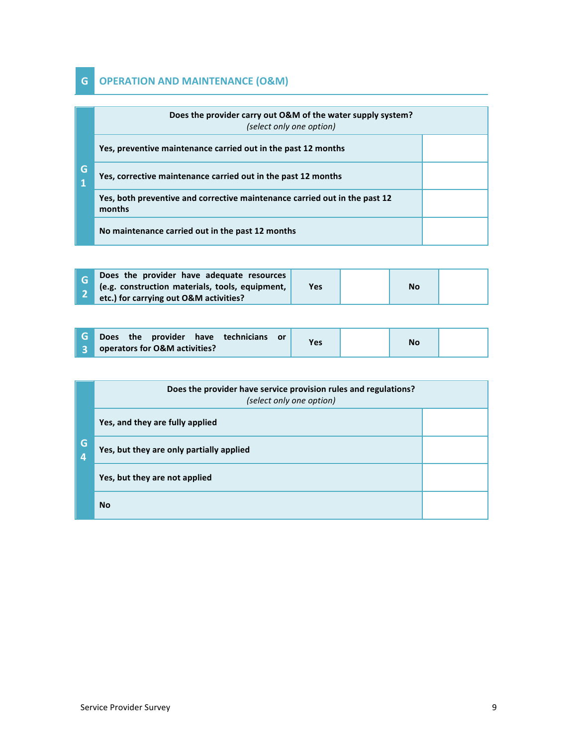# **G OPERATION AND MAINTENANCE (O&M)**

|                  | Does the provider carry out O&M of the water supply system?<br>(select only one option) |  |
|------------------|-----------------------------------------------------------------------------------------|--|
|                  | Yes, preventive maintenance carried out in the past 12 months                           |  |
| G<br>$\mathbf 1$ | Yes, corrective maintenance carried out in the past 12 months                           |  |
|                  | Yes, both preventive and corrective maintenance carried out in the past 12<br>months    |  |
|                  | No maintenance carried out in the past 12 months                                        |  |

| Does the provider have adequate resources<br>(e.g. construction materials, tools, equipment, | Yes | <b>No</b> |  |
|----------------------------------------------------------------------------------------------|-----|-----------|--|
| etc.) for carrying out O&M activities?                                                       |     |           |  |

| <b>G</b> Does the provider have technicians or | <b>Yes</b> | <b>No</b> |  |
|------------------------------------------------|------------|-----------|--|
| <b>3</b> operators for O&M activities?         |            |           |  |

|                       | Does the provider have service provision rules and regulations?<br>(select only one option) |  |  |
|-----------------------|---------------------------------------------------------------------------------------------|--|--|
|                       | Yes, and they are fully applied                                                             |  |  |
| G<br>$\boldsymbol{4}$ | Yes, but they are only partially applied                                                    |  |  |
|                       | Yes, but they are not applied                                                               |  |  |
|                       | <b>No</b>                                                                                   |  |  |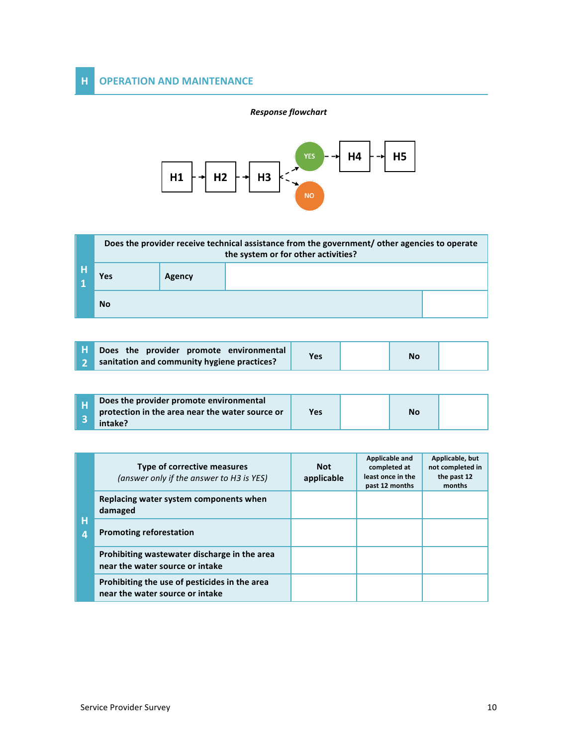#### *Response flowchart*



|    | Does the provider receive technical assistance from the government/ other agencies to operate<br>the system or for other activities? |        |  |  |
|----|--------------------------------------------------------------------------------------------------------------------------------------|--------|--|--|
| ÆН | <b>Yes</b>                                                                                                                           | Agency |  |  |
|    | <b>No</b>                                                                                                                            |        |  |  |

| <b>T</b> Does the provider promote environmental | Yes | <b>No</b> |  |
|--------------------------------------------------|-----|-----------|--|
| sanitation and community hygiene practices?      |     |           |  |

|  | Does the provider promote environmental<br>protection in the area near the water source or<br>intake? | Yes |  | Νo |  |
|--|-------------------------------------------------------------------------------------------------------|-----|--|----|--|
|--|-------------------------------------------------------------------------------------------------------|-----|--|----|--|

| н<br>Δ | Type of corrective measures<br>(answer only if the answer to H3 is YES)          | <b>Not</b><br>applicable | Applicable and<br>completed at<br>least once in the<br>past 12 months | Applicable, but<br>not completed in<br>the past 12<br>months |
|--------|----------------------------------------------------------------------------------|--------------------------|-----------------------------------------------------------------------|--------------------------------------------------------------|
|        | Replacing water system components when<br>damaged                                |                          |                                                                       |                                                              |
|        | <b>Promoting reforestation</b>                                                   |                          |                                                                       |                                                              |
|        | Prohibiting wastewater discharge in the area<br>near the water source or intake  |                          |                                                                       |                                                              |
|        | Prohibiting the use of pesticides in the area<br>near the water source or intake |                          |                                                                       |                                                              |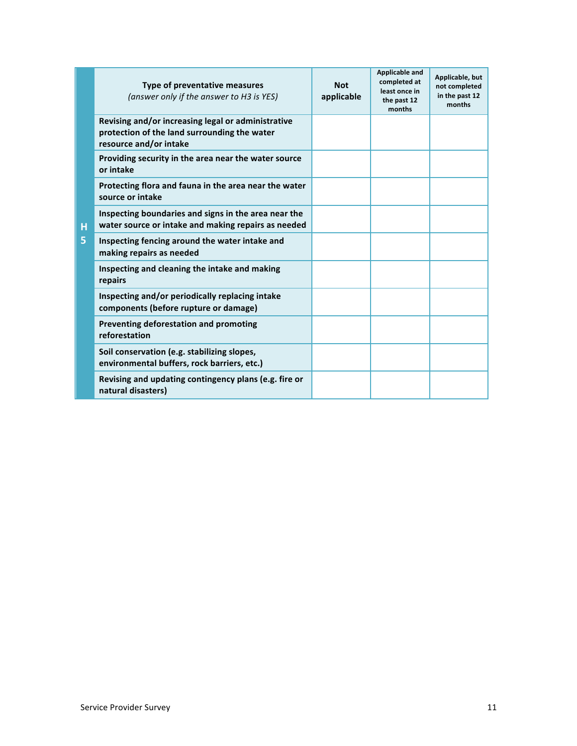|         | Type of preventative measures<br>(answer only if the answer to H3 is YES)                                                    | <b>Not</b><br>applicable | <b>Applicable and</b><br>completed at<br>least once in<br>the past 12<br>months | Applicable, but<br>not completed<br>in the past 12<br>months |
|---------|------------------------------------------------------------------------------------------------------------------------------|--------------------------|---------------------------------------------------------------------------------|--------------------------------------------------------------|
| Ĥ<br>5. | Revising and/or increasing legal or administrative<br>protection of the land surrounding the water<br>resource and/or intake |                          |                                                                                 |                                                              |
|         | Providing security in the area near the water source<br>or intake                                                            |                          |                                                                                 |                                                              |
|         | Protecting flora and fauna in the area near the water<br>source or intake                                                    |                          |                                                                                 |                                                              |
|         | Inspecting boundaries and signs in the area near the<br>water source or intake and making repairs as needed                  |                          |                                                                                 |                                                              |
|         | Inspecting fencing around the water intake and<br>making repairs as needed                                                   |                          |                                                                                 |                                                              |
|         | Inspecting and cleaning the intake and making<br>repairs                                                                     |                          |                                                                                 |                                                              |
|         | Inspecting and/or periodically replacing intake<br>components (before rupture or damage)                                     |                          |                                                                                 |                                                              |
|         | Preventing deforestation and promoting<br>reforestation                                                                      |                          |                                                                                 |                                                              |
|         | Soil conservation (e.g. stabilizing slopes,<br>environmental buffers, rock barriers, etc.)                                   |                          |                                                                                 |                                                              |
|         | Revising and updating contingency plans (e.g. fire or<br>natural disasters)                                                  |                          |                                                                                 |                                                              |